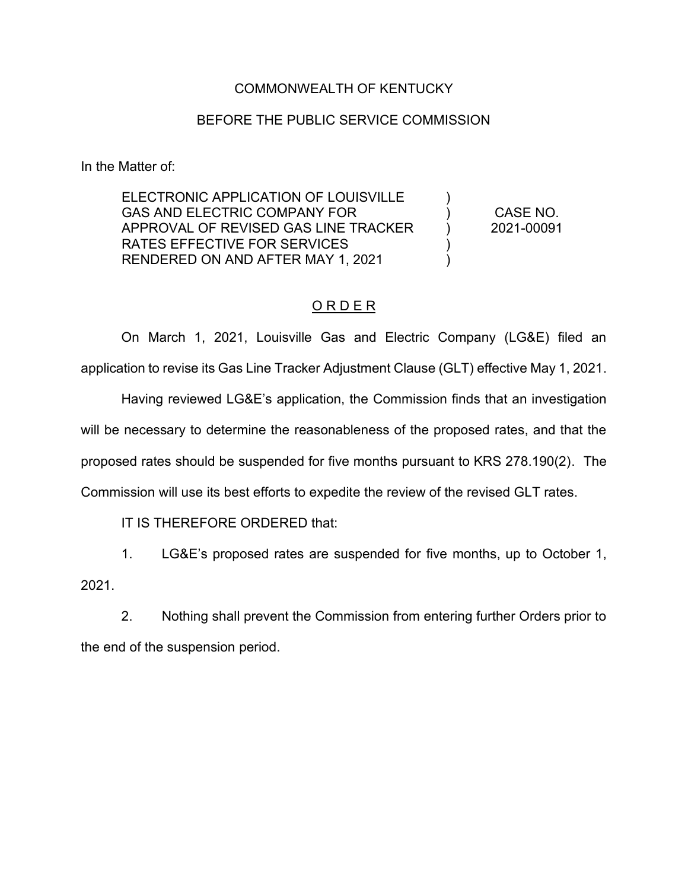## COMMONWEALTH OF KENTUCKY

## BEFORE THE PUBLIC SERVICE COMMISSION

In the Matter of:

ELECTRONIC APPLICATION OF LOUISVILLE GAS AND ELECTRIC COMPANY FOR APPROVAL OF REVISED GAS LINE TRACKER RATES EFFECTIVE FOR SERVICES RENDERED ON AND AFTER MAY 1, 2021

CASE NO. 2021-00091

)  $\lambda$ ) )  $\lambda$ 

## O R D E R

On March 1, 2021, Louisville Gas and Electric Company (LG&E) filed an application to revise its Gas Line Tracker Adjustment Clause (GLT) effective May 1, 2021.

Having reviewed LG&E's application, the Commission finds that an investigation will be necessary to determine the reasonableness of the proposed rates, and that the proposed rates should be suspended for five months pursuant to KRS 278.190(2). The Commission will use its best efforts to expedite the review of the revised GLT rates.

IT IS THEREFORE ORDERED that:

1. LG&E's proposed rates are suspended for five months, up to October 1, 2021.

2. Nothing shall prevent the Commission from entering further Orders prior to the end of the suspension period.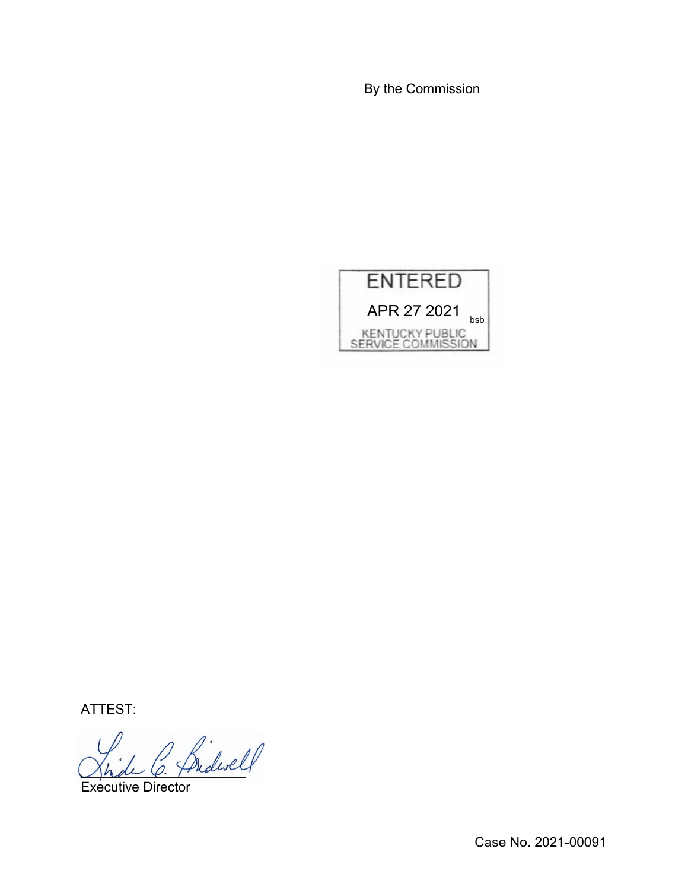By the Commission



ATTEST:

Shake O. Frideric

Executive Director

Case No. 2021-00091